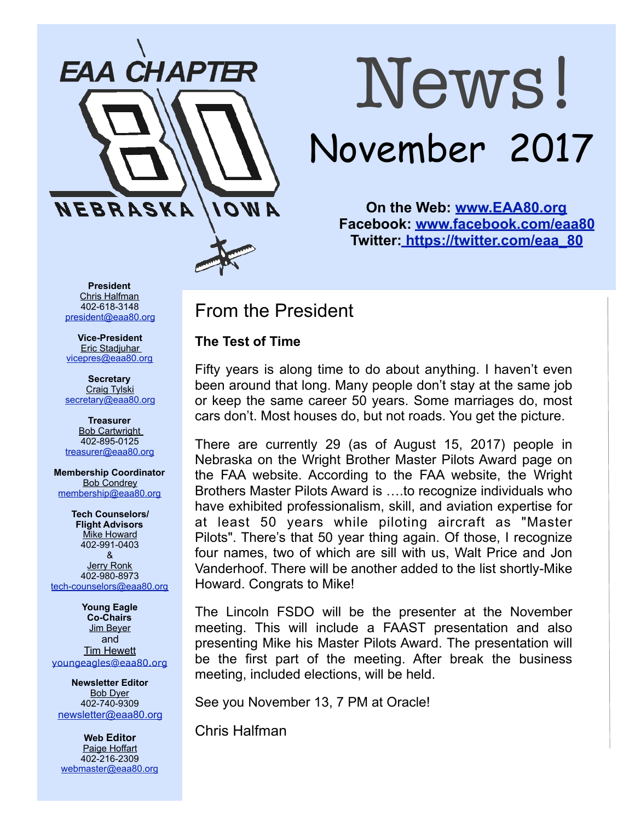

# News! November 2017

**On the Web: [www.EAA80.org](http://www.EAA80.org) Facebook: [www.facebook.com/eaa80](http://www.facebook.com/eaa80) Twitter[: https://twitter.com/eaa\\_80](https://twitter.com/eaa_80)**

**President**  Chris Halfman 402-618-3148 [president@eaa80.org](mailto:president@eaa80.org)

**Vice-President**  Eric Stadjuhar [vicepres@eaa80.org](mailto:vicepres@eaa80.org) 

**Secretary**  Craig Tylski [secretary@eaa80.org](mailto:secretary@eaa80.org)

**Treasurer**  Bob Cartwright 402-895-0125 [treasurer@eaa80.org](mailto:treasurer@eaa80.org)

**Membership Coordinator**  Bob Condrey [membership@eaa80.org](mailto:membership@eaa80.org) 

**Tech Counselors/ Flight Advisors**  Mike Howard 402-991-0403 & Jerry Ronk 402-980-8973 [tech-counselors@eaa80.org](mailto:tech-counselors@eaa80.org) 

**Young Eagle Co-Chairs**  Jim Beyer and **Tim Hewett** [youngeagles@eaa80.org](mailto:youngeagles@eaa80.org)

**Newsletter Editor**  Bob Dyer 402-740-9309 [newsletter@eaa80.org](mailto:newsletter@eaa80.org)

**Web Editor**  Paige Hoffart 402-216-2309 [webmaster@eaa80.org](mailto:webmaster@eaa80.org) From the President

#### **The Test of Time**

Fifty years is along time to do about anything. I haven't even been around that long. Many people don't stay at the same job or keep the same career 50 years. Some marriages do, most cars don't. Most houses do, but not roads. You get the picture.

There are currently 29 (as of August 15, 2017) people in Nebraska on the Wright Brother Master Pilots Award page on the FAA website. According to the FAA website, the Wright Brothers Master Pilots Award is ….to recognize individuals who have exhibited professionalism, skill, and aviation expertise for at least 50 years while piloting aircraft as "Master Pilots". There's that 50 year thing again. Of those, I recognize four names, two of which are sill with us, Walt Price and Jon Vanderhoof. There will be another added to the list shortly-Mike Howard. Congrats to Mike!

The Lincoln FSDO will be the presenter at the November meeting. This will include a FAAST presentation and also presenting Mike his Master Pilots Award. The presentation will be the first part of the meeting. After break the business meeting, included elections, will be held.

See you November 13, 7 PM at Oracle!

Chris Halfman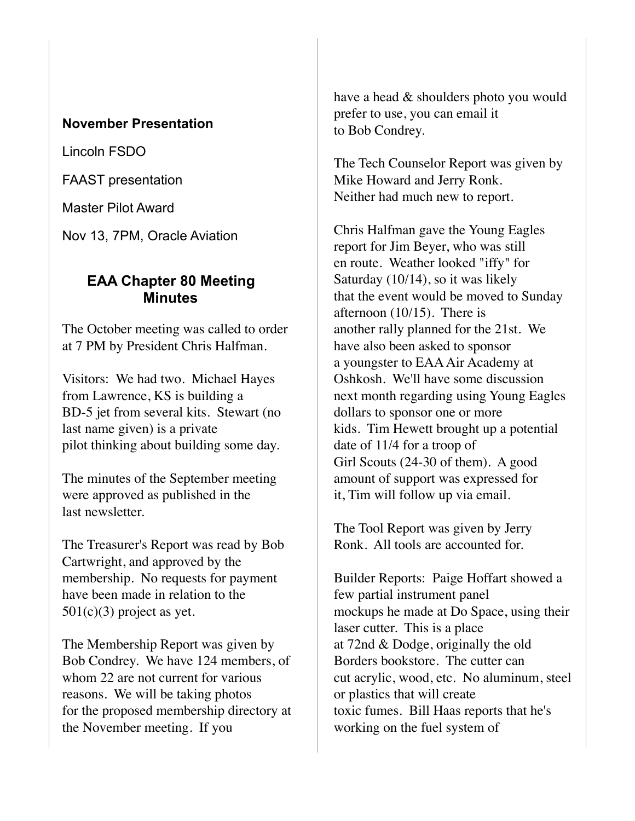#### **November Presentation**

Lincoln FSDO

FAAST presentation

Master Pilot Award

Nov 13, 7PM, Oracle Aviation

#### **EAA Chapter 80 Meeting Minutes**

The October meeting was called to order at 7 PM by President Chris Halfman.

Visitors: We had two. Michael Hayes from Lawrence, KS is building a BD-5 jet from several kits. Stewart (no last name given) is a private pilot thinking about building some day.

The minutes of the September meeting were approved as published in the last newsletter.

The Treasurer's Report was read by Bob Cartwright, and approved by the membership. No requests for payment have been made in relation to the  $501(c)(3)$  project as yet.

The Membership Report was given by Bob Condrey. We have 124 members, of whom 22 are not current for various reasons. We will be taking photos for the proposed membership directory at the November meeting. If you

have a head & shoulders photo you would prefer to use, you can email it to Bob Condrey.

The Tech Counselor Report was given by Mike Howard and Jerry Ronk. Neither had much new to report.

Chris Halfman gave the Young Eagles report for Jim Beyer, who was still en route. Weather looked "iffy" for Saturday (10/14), so it was likely that the event would be moved to Sunday afternoon (10/15). There is another rally planned for the 21st. We have also been asked to sponsor a youngster to EAA Air Academy at Oshkosh. We'll have some discussion next month regarding using Young Eagles dollars to sponsor one or more kids. Tim Hewett brought up a potential date of 11/4 for a troop of Girl Scouts (24-30 of them). A good amount of support was expressed for it, Tim will follow up via email.

The Tool Report was given by Jerry Ronk. All tools are accounted for.

Builder Reports: Paige Hoffart showed a few partial instrument panel mockups he made at Do Space, using their laser cutter. This is a place at 72nd & Dodge, originally the old Borders bookstore. The cutter can cut acrylic, wood, etc. No aluminum, steel or plastics that will create toxic fumes. Bill Haas reports that he's working on the fuel system of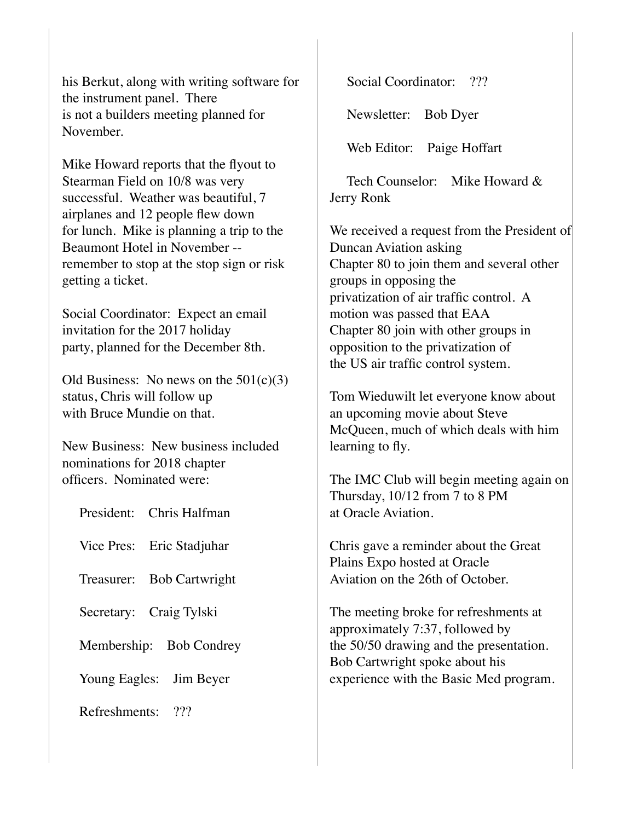his Berkut, along with writing software for the instrument panel. There is not a builders meeting planned for November.

Mike Howard reports that the flyout to Stearman Field on 10/8 was very successful. Weather was beautiful, 7 airplanes and 12 people flew down for lunch. Mike is planning a trip to the Beaumont Hotel in November - remember to stop at the stop sign or risk getting a ticket.

Social Coordinator: Expect an email invitation for the 2017 holiday party, planned for the December 8th.

Old Business: No news on the  $501(c)(3)$ status, Chris will follow up with Bruce Mundie on that.

New Business: New business included nominations for 2018 chapter officers. Nominated were:

| President: Chris Halfman            |
|-------------------------------------|
| Vice Pres: Eric Stadjuhar           |
| <b>Bob Cartwright</b><br>Treasurer: |
| Secretary: Craig Tylski             |
| Membership: Bob Condrey             |
| Young Eagles: Jim Beyer             |
| າາາ<br>Refreshments:                |

Social Coordinator: ???

Newsletter: Bob Dyer

Web Editor: Paige Hoffart

Tech Counselor: Mike Howard & Jerry Ronk

We received a request from the President of Duncan Aviation asking Chapter 80 to join them and several other groups in opposing the privatization of air traffic control. A motion was passed that EAA Chapter 80 join with other groups in opposition to the privatization of the US air traffic control system.

Tom Wieduwilt let everyone know about an upcoming movie about Steve McQueen, much of which deals with him learning to fly.

The IMC Club will begin meeting again on Thursday, 10/12 from 7 to 8 PM at Oracle Aviation.

Chris gave a reminder about the Great Plains Expo hosted at Oracle Aviation on the 26th of October.

The meeting broke for refreshments at approximately 7:37, followed by the 50/50 drawing and the presentation. Bob Cartwright spoke about his experience with the Basic Med program.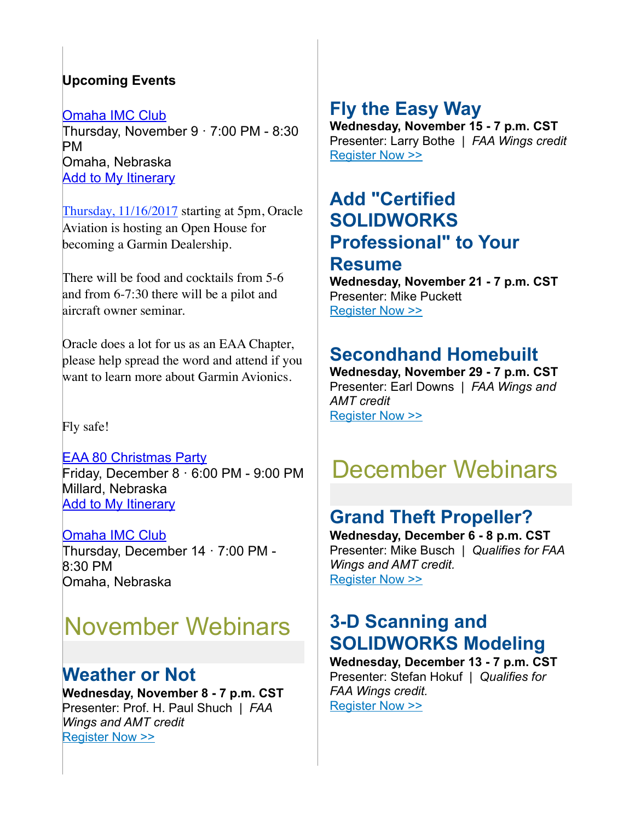#### **Upcoming Events**

[Omaha IMC Club](https://www.eaa.org/eaa/event/2017-10-12-Omaha_IMC_Club?id=29704E2CE74F4CAA84EAE79F3F93DBDC) Thursday, November 9 · 7:00 PM - 8:30 PM Omaha, Nebraska **[Add to My Itinerary](https://www.eaa.org/en/eaa/account/accountlogin)** 

Thursday, 11/16/2017 starting at 5pm, Oracle Aviation is hosting an Open House for becoming a Garmin Dealership.

There will be food and cocktails from 5-6 and from 6-7:30 there will be a pilot and aircraft owner seminar.

Oracle does a lot for us as an EAA Chapter, please help spread the word and attend if you want to learn more about Garmin Avionics.

Fly safe!

[EAA 80 Christmas Party](https://www.eaa.org/eaa/event/2017-12-08-EAA_80_Christmas_Party?id=802E4B8F7A06429C947BE6A5A4B53B2C) Friday, December 8 · 6:00 PM - 9:00 PM Millard, Nebraska [Add to My Itinerary](https://www.eaa.org/en/eaa/account/accountlogin)

[Omaha IMC Club](https://www.eaa.org/eaa/event/2017-12-14-Omaha_IMC_Club?id=9BAB18C3F52D4E63A6CF3EA01D43B9D4) Thursday, December 14 · 7:00 PM - 8:30 PM Omaha, Nebraska

# November Webinars

#### **Weather or Not**

**Wednesday, November 8 - 7 p.m. CST** Presenter: Prof. H. Paul Shuch | *FAA Wings and AMT credit* [Register Now >>](http://go.eaa.org/lBEVo000BFmH0U3O10K0x0S)

# **Fly the Easy Way**

**Wednesday, November 15 - 7 p.m. CST** Presenter: Larry Bothe | *FAA Wings credit* [Register Now >>](http://go.eaa.org/wEmUK1OSB0000HFp00V3y0B)

### **Add "Certified SOLIDWORKS Professional" to Your**

#### **Resume**

**Wednesday, November 21 - 7 p.m. CST** Presenter: Mike Puckett [Register Now >>](http://go.eaa.org/CEH00q0zB0BS0KOm3V0FU01)

### **Secondhand Homebuilt**

**Wednesday, November 29 - 7 p.m. CST** Presenter: Earl Downs | *FAA Wings and AMT credit* [Register Now >>](http://go.eaa.org/I0F0ASm0B1HrKO3V0B0EU00)

# December Webinars

## **Grand Theft Propeller?**

**Wednesday, December 6 - 8 p.m. CST** Presenter: Mike Busch | *Qualifies for FAA Wings and AMT credit.* [Register Now >>](http://go.eaa.org/ZEK1H0IVO0000V0mt30BUS9)

## **3-D Scanning and SOLIDWORKS Modeling**

**Wednesday, December 13 - 7 p.m. CST** Presenter: Stefan Hokuf | *Qualifies for FAA Wings credit.* [Register Now >>](http://go.eaa.org/P000K0OSBE0Hu1090mWUIV3)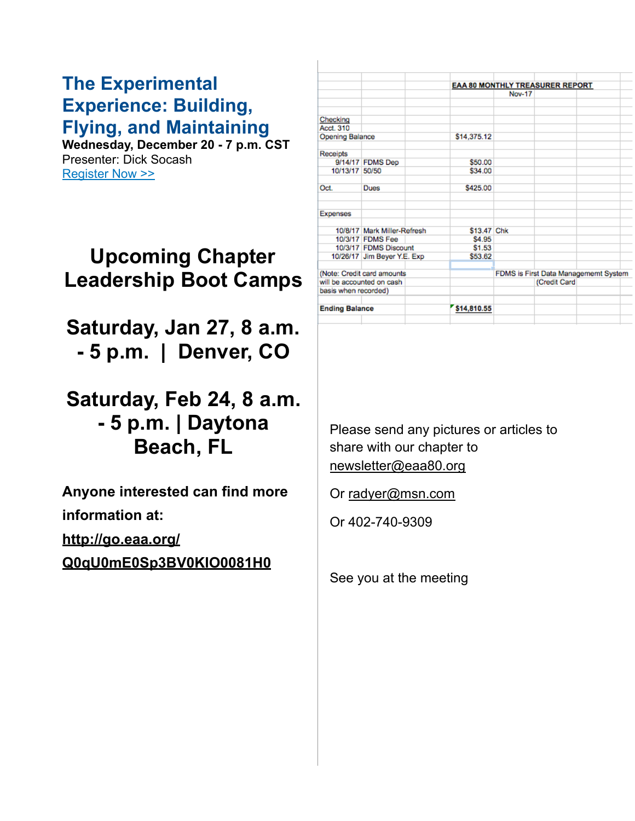#### **The Experimental Experience: Building, Flying, and Maintaining**

**Wednesday, December 20 - 7 p.m. CST** Presenter: Dick Socash [Register Now >>](http://go.eaa.org/a0300B0IVS0m00XUvEK91HO)

# **Upcoming Chapter Leadership Boot Camps**

**Saturday, Jan 27, 8 a.m. - 5 p.m. | Denver, CO** 

# **Saturday, Feb 24, 8 a.m. - 5 p.m. | Daytona Beach, FL**

**Anyone interested can find more information at:** 

**[http://go.eaa.org/](http://go.eaa.org/Q0qU0mE0Sp3BV0KIO0081H0)**

**[Q0qU0mE0Sp3BV0KIO0081H0](http://go.eaa.org/Q0qU0mE0Sp3BV0KIO0081H0)**

|                            |                                                                                                                                                                                           | EAA 80 MONTHLY TREASURER REPORT            |              |                                                       |  |  |
|----------------------------|-------------------------------------------------------------------------------------------------------------------------------------------------------------------------------------------|--------------------------------------------|--------------|-------------------------------------------------------|--|--|
|                            |                                                                                                                                                                                           |                                            |              |                                                       |  |  |
|                            |                                                                                                                                                                                           |                                            |              |                                                       |  |  |
|                            |                                                                                                                                                                                           |                                            |              |                                                       |  |  |
|                            |                                                                                                                                                                                           |                                            |              |                                                       |  |  |
|                            |                                                                                                                                                                                           |                                            |              |                                                       |  |  |
|                            |                                                                                                                                                                                           |                                            |              |                                                       |  |  |
|                            | \$50.00                                                                                                                                                                                   |                                            |              |                                                       |  |  |
|                            | \$34.00                                                                                                                                                                                   |                                            |              |                                                       |  |  |
| Dues                       | \$425.00                                                                                                                                                                                  |                                            |              |                                                       |  |  |
|                            |                                                                                                                                                                                           |                                            |              |                                                       |  |  |
|                            |                                                                                                                                                                                           |                                            |              |                                                       |  |  |
|                            | \$4.95                                                                                                                                                                                    |                                            |              |                                                       |  |  |
|                            | \$1.53                                                                                                                                                                                    |                                            |              |                                                       |  |  |
|                            | \$53.62                                                                                                                                                                                   |                                            |              |                                                       |  |  |
| (Note: Credit card amounts |                                                                                                                                                                                           |                                            |              |                                                       |  |  |
| will be accounted on cash  |                                                                                                                                                                                           |                                            | (Credit Card |                                                       |  |  |
|                            |                                                                                                                                                                                           |                                            |              |                                                       |  |  |
|                            | \$14,810.55                                                                                                                                                                               |                                            |              |                                                       |  |  |
|                            | <b>Opening Balance</b><br>9/14/17 FDMS Dep<br>10/13/17 50/50<br>10/3/17 FDMS Fee<br>10/3/17 FDMS Discount<br>10/26/17 Jim Beyer Y.E. Exp<br>basis when recorded)<br><b>Ending Balance</b> | \$14,375.12<br>10/8/17 Mark Miller-Refresh | \$13.47 Chk  | <b>Nov-17</b><br>FDMS is First Data Managememt System |  |  |

#### Please send any pictures or articles to share with our chapter to [newsletter@eaa80.org](mailto:newsletter@eaa80.org)

Or [radyer@msn.com](mailto:radyer@msn.com)

Or 402-740-9309

See you at the meeting